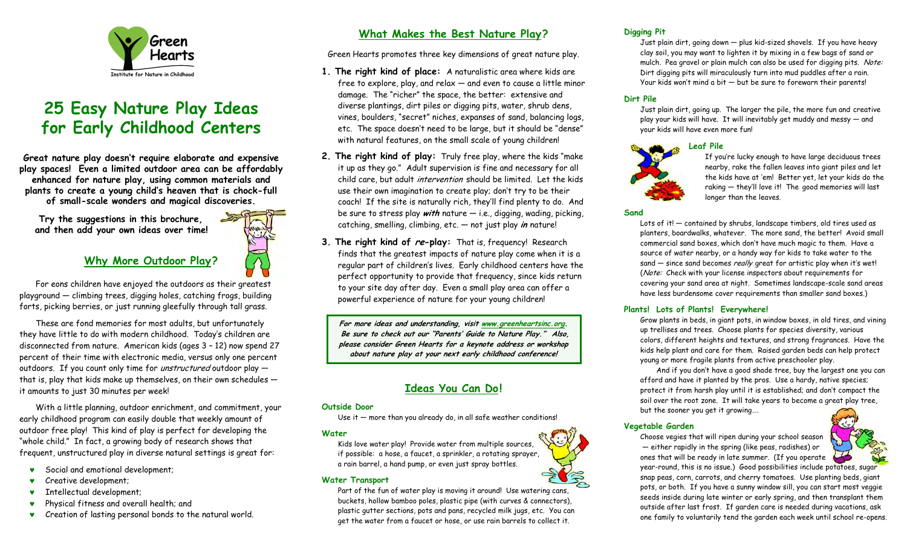

# **25 Easy Nature Play Ideas for Early Childhood Centers**

**Great nature play doesn't require elaborate and expensive play spaces! Even a limited outdoor area can be affordably enhanced for nature play, using common materials and plants to create a young child's heaven that is chock-full of small-scale wonders and magical discoveries.** 

 **Try the suggestions in this brochure, and then add your own ideas over time!** 

# **Why More Outdoor Play ?**

 For eons children have enjoyed the outdoors as their greatest playground — climbing trees, digging holes, catching frogs, building forts, picking berries, or just running gleefully through tall grass.

 These are fond memories for most adults, but unfortunately they have little to do with modern childhood. Today's children are disconnected from nature. American kids (ages 3 – 12) now spend 27 percent of their time with electronic media, versus only one percent outdoors. If you count only time for *unstructured* outdoor play that is, play that kids make up themselves, on their own schedules it amounts to just 30 minutes per week!

 With a little planning, outdoor enrichment, and commitment, your early childhood program can easily double that weekly amount of outdoor free play! This kind of play is perfect for developing the "whole child." In fact, a growing body of research shows that frequent, unstructured play in diverse natural settings is great for:

- ♥Social and emotional development;
- ♥Creative development;
- ♥Intellectual development;
- ♥Physical fitness and overall health; and
- ♥Creation of lasting personal bonds to the natural world.

# **What Makes the Best Nature Play?**

Green Hearts promotes three key dimensions of great nature play.

- **1. The right kind of place:** A naturalistic area where kids are free to explore, play, and relax  $-$  and even to cause a little minor damage. The "richer" the space, the better: extensive and diverse plantings, dirt piles or digging pits, water, shrub dens, vines, boulders, "secret" niches, expanses of sand, balancing logs, etc. The space doesn't need to be large, but it should be "dense" with natural features, on the small scale of young children!
- **2. The right kind of play:** Truly free play, where the kids "make it up as they go." Adult supervision is fine and necessary for all child care, but adult intervention should be limited. Let the kids use their own imagination to create play; don't try to be their coach! If the site is naturally rich, they'll find plenty to do. And be sure to stress play **with** nature — i.e., digging, wading, picking, catching, smelling, climbing, etc. — not just play **in** nature!
- **3. The right kind of re-play:** That is, frequency! Research finds that the greatest impacts of nature play come when it is a regular part of children's lives. Early childhood centers have the perfect opportunity to provide that frequency, since kids return to your site day after day. Even a small play area can offer a powerful experience of nature for your young children!

**For more ideas and understanding, visit [www.greenheartsinc.org](http://www.greenheartsinc.org/). Be sure to check out our "Parents' Guide to Nature Play." Also, please consider Green Hearts for a keynote address or workshop about nature play at your next early childhood conference!** 

# **Ideas You Can Do!**

#### **Outside Door**

Use it  $-$  more than you already do, in all safe weather conditions!

# **Water**

Kids love water play! Provide water from multiple sources, if possible: a hose, a faucet, a sprinkler, a rotating sprayer, a rain barrel, a hand pump, or even just spray bottles.

# **Water Transport**

Part of the fun of water play is moving it around! Use watering cans, buckets, hollow bamboo poles, plastic pipe (with curves & connectors), plastic gutter sections, pots and pans, recycled milk jugs, etc. You can get the water from a faucet or hose, or use rain barrels to collect it.

# **Digging Pit**

Just plain dirt, going down — plus kid-sized shovels. If you have heavy clay soil, you may want to lighten it by mixing in a few bags of sand or mulch. Pea gravel or plain mulch can also be used for digging pits. Note: Dirt digging pits will miraculously turn into mud puddles after a rain. Your kids won't mind a bit — but be sure to forewarn their parents!

# **Dirt Pile**

Just plain dirt, going up. The larger the pile, the more fun and creative play your kids will have. It will inevitably get muddy and messy — and your kids will have even more fun!

# **Leaf Pile**



If you're lucky enough to have large deciduous trees nearby, rake the fallen leaves into giant piles and let the kids have at 'em! Better yet, let your kids do the raking — they'll love it! The good memories will last longer than the leaves.

#### **Sand**

Lots of it! ― contained by shrubs, landscape timbers, old tires used as planters, boardwalks, whatever. The more sand, the better! Avoid small commercial sand boxes, which don't have much magic to them. Have a source of water nearby, or a handy way for kids to take water to the sand – since sand becomes really great for artistic play when it's wet! (Note: Check with your license inspectors about requirements for covering your sand area at night. Sometimes landscape-scale sand areas have less burdensome cover requirements than smaller sand boxes.)

# **Plants! Lots of Plants! Everywhere!**

Grow plants in beds, in giant pots, in window boxes, in old tires, and vining up trellises and trees. Choose plants for species diversity, various colors, different heights and textures, and strong fragrances. Have the kids help plant and care for them. Raised garden beds can help protect young or more fragile plants from active preschooler play.

And if you don't have a good shade tree, buy the largest one you can afford and have it planted by the pros. Use a hardy, native species; protect it from harsh play until it is established; and don't compact the soil over the root zone. It will take years to become a great play tree, but the sooner you get it growing….

# **Vegetable Garden**

Choose vegies that will ripen during your school season — either rapidly in the spring (like peas, radishes) or ones that will be ready in late summer. (If you operate



year-round, this is no issue.) Good possibilities include potatoes, sugar snap peas, corn, carrots, and cherry tomatoes. Use planting beds, giant pots, or both. If you have a sunny window sill, you can start most veggie seeds inside during late winter or early spring, and then transplant them outside after last frost. If garden care is needed during vacations, ask one family to voluntarily tend the garden each week until school re-opens.